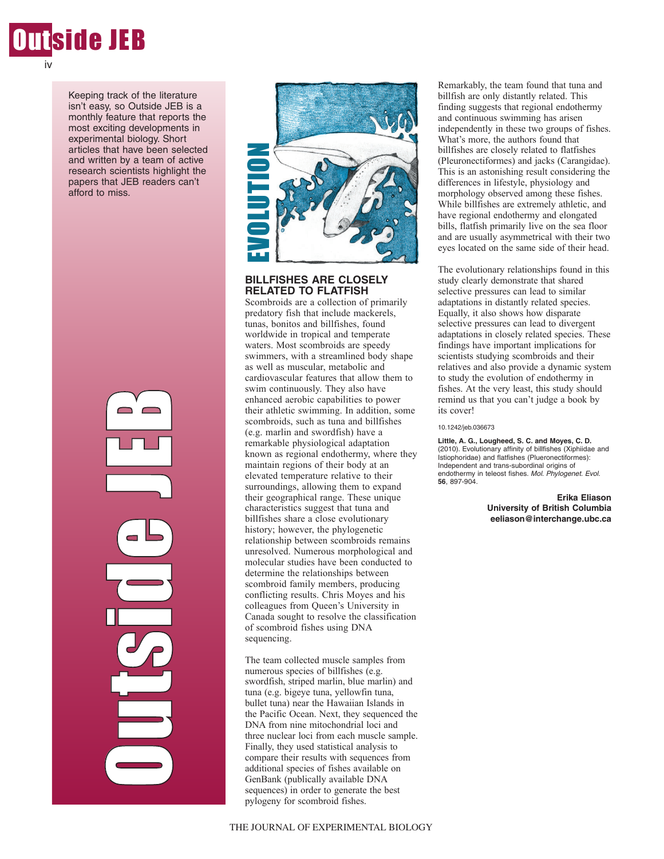

Keeping track of the literature isn't easy, so Outside JEB is a monthly feature that reports the most exciting developments in experimental biology. Short articles that have been selected and written by a team of active research scientists highlight the papers that JEB readers can't afford to miss.





#### **BILLFISHES ARE CLOSELY RELATED TO FLATFISH**

Scombroids are a collection of primarily predatory fish that include mackerels, tunas, bonitos and billfishes, found worldwide in tropical and temperate waters. Most scombroids are speedy swimmers, with a streamlined body shape as well as muscular, metabolic and cardiovascular features that allow them to swim continuously. They also have enhanced aerobic capabilities to power their athletic swimming. In addition, some scombroids, such as tuna and billfishes (e.g. marlin and swordfish) have a remarkable physiological adaptation known as regional endothermy, where they maintain regions of their body at an elevated temperature relative to their surroundings, allowing them to expand their geographical range. These unique characteristics suggest that tuna and billfishes share a close evolutionary history; however, the phylogenetic relationship between scombroids remains unresolved. Numerous morphological and molecular studies have been conducted to determine the relationships between scombroid family members, producing conflicting results. Chris Moyes and his colleagues from Queen's University in Canada sought to resolve the classification of scombroid fishes using DNA sequencing. **EXCREDIBET SAIRS CREAM CONDUCT SERVED SCOND RELATED TO FLATFISH** Scombroids are a collection of predatory fish that include maan bunds, bonitos and billfishes, for wordkwide in tropical and tem waters. Most scombroids are

The team collected muscle samples from numerous species of billfishes (e.g. swordfish, striped marlin, blue marlin) and tuna (e.g. bigeye tuna, yellowfin tuna, bullet tuna) near the Hawaiian Islands in the Pacific Ocean. Next, they sequenced the DNA from nine mitochondrial loci and three nuclear loci from each muscle sample. Finally, they used statistical analysis to compare their results with sequences from additional species of fishes available on GenBank (publically available DNA sequences) in order to generate the best pylogeny for scombroid fishes.

Remarkably, the team found that tuna and billfish are only distantly related. This finding suggests that regional endothermy and continuous swimming has arisen independently in these two groups of fishes. What's more, the authors found that billfishes are closely related to flatfishes (Pleuronectiformes) and jacks (Carangidae). This is an astonishing result considering the differences in lifestyle, physiology and morphology observed among these fishes. While billfishes are extremely athletic, and have regional endothermy and elongated bills, flatfish primarily live on the sea floor and are usually asymmetrical with their two eyes located on the same side of their head.

The evolutionary relationships found in this study clearly demonstrate that shared selective pressures can lead to similar adaptations in distantly related species. Equally, it also shows how disparate selective pressures can lead to divergent adaptations in closely related species. These findings have important implications for scientists studying scombroids and their relatives and also provide a dynamic system to study the evolution of endothermy in fishes. At the very least, this study should remind us that you can't judge a book by its cover!

#### 10.1242/jeb.036673

**Little, A. G., Lougheed, S. C. and Moyes, C. D.** (2010). Evolutionary affinity of billfishes (Xiphiidae and Istiophoridae) and flatfishes (Plueronectiformes): Independent and trans-subordinal origins of endothermy in teleost fishes. Mol. Phylogenet. Evol. **56**, 897-904.

> **Erika Eliason University of British Columbia eeliason@interchange.ubc.ca**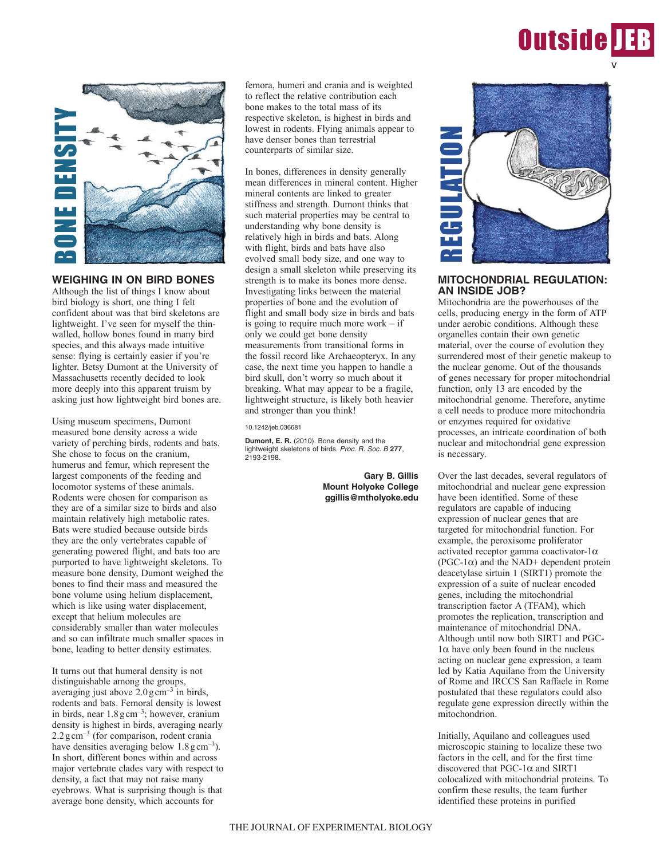# **Outside IEB**



# **WEIGHING IN ON BIRD BONES**

Although the list of things I know about bird biology is short, one thing I felt confident about was that bird skeletons are lightweight. I've seen for myself the thinwalled, hollow bones found in many bird species, and this always made intuitive sense: flying is certainly easier if you're lighter. Betsy Dumont at the University of Massachusetts recently decided to look more deeply into this apparent truism by asking just how lightweight bird bones are.

Using museum specimens, Dumont measured bone density across a wide variety of perching birds, rodents and bats. She chose to focus on the cranium, humerus and femur, which represent the largest components of the feeding and locomotor systems of these animals. Rodents were chosen for comparison as they are of a similar size to birds and also maintain relatively high metabolic rates. Bats were studied because outside birds they are the only vertebrates capable of generating powered flight, and bats too are purported to have lightweight skeletons. To measure bone density, Dumont weighed the bones to find their mass and measured the bone volume using helium displacement, which is like using water displacement, except that helium molecules are considerably smaller than water molecules and so can infiltrate much smaller spaces in bone, leading to better density estimates.

It turns out that humeral density is not distinguishable among the groups, averaging just above  $2.0 \text{ g cm}^{-3}$  in birds, rodents and bats. Femoral density is lowest in birds, near 1.8gcm–3; however, cranium density is highest in birds, averaging nearly  $2.2 \text{ g cm}^{-3}$  (for comparison, rodent crania have densities averaging below 1.8 gcm<sup>-3</sup>). In short, different bones within and across major vertebrate clades vary with respect to density, a fact that may not raise many eyebrows. What is surprising though is that average bone density, which accounts for

femora, humeri and crania and is weighted to reflect the relative contribution each bone makes to the total mass of its respective skeleton, is highest in birds and lowest in rodents. Flying animals appear to have denser bones than terrestrial counterparts of similar size.

In bones, differences in density generally mean differences in mineral content. Higher mineral contents are linked to greater stiffness and strength. Dumont thinks that such material properties may be central to understanding why bone density is relatively high in birds and bats. Along with flight, birds and bats have also evolved small body size, and one way to design a small skeleton while preserving its strength is to make its bones more dense. Investigating links between the material properties of bone and the evolution of flight and small body size in birds and bats is going to require much more work  $-$  if only we could get bone density measurements from transitional forms in the fossil record like Archaeopteryx. In any case, the next time you happen to handle a bird skull, don't worry so much about it breaking. What may appear to be a fragile, lightweight structure, is likely both heavier and stronger than you think!

#### 10.1242/jeb.036681

**Dumont, E. R.** (2010). Bone density and the lightweight skeletons of birds. Proc. R. Soc. B **277**, 2193-2198.

> **Gary B. Gillis Mount Holyoke College ggillis@mtholyoke.edu**



## **MITOCHONDRIAL REGULATION: AN INSIDE JOB?**

Mitochondria are the powerhouses of the cells, producing energy in the form of ATP under aerobic conditions. Although these organelles contain their own genetic material, over the course of evolution they surrendered most of their genetic makeup to the nuclear genome. Out of the thousands of genes necessary for proper mitochondrial function, only 13 are encoded by the mitochondrial genome. Therefore, anytime a cell needs to produce more mitochondria or enzymes required for oxidative processes, an intricate coordination of both nuclear and mitochondrial gene expression is necessary.

Over the last decades, several regulators of mitochondrial and nuclear gene expression have been identified. Some of these regulators are capable of inducing expression of nuclear genes that are targeted for mitochondrial function. For example, the peroxisome proliferator activated receptor gamma coactivator- $1\alpha$ (PGC-1 $\alpha$ ) and the NAD+ dependent protein deacetylase sirtuin 1 (SIRT1) promote the expression of a suite of nuclear encoded genes, including the mitochondrial transcription factor A (TFAM), which promotes the replication, transcription and maintenance of mitochondrial DNA. Although until now both SIRT1 and PGC- $1\alpha$  have only been found in the nucleus acting on nuclear gene expression, a team led by Katia Aquilano from the University of Rome and IRCCS San Raffaele in Rome postulated that these regulators could also regulate gene expression directly within the mitochondrion.

Initially, Aquilano and colleagues used microscopic staining to localize these two factors in the cell, and for the first time discovered that PGC-1 $\alpha$  and SIRT1 colocalized with mitochondrial proteins. To confirm these results, the team further identified these proteins in purified